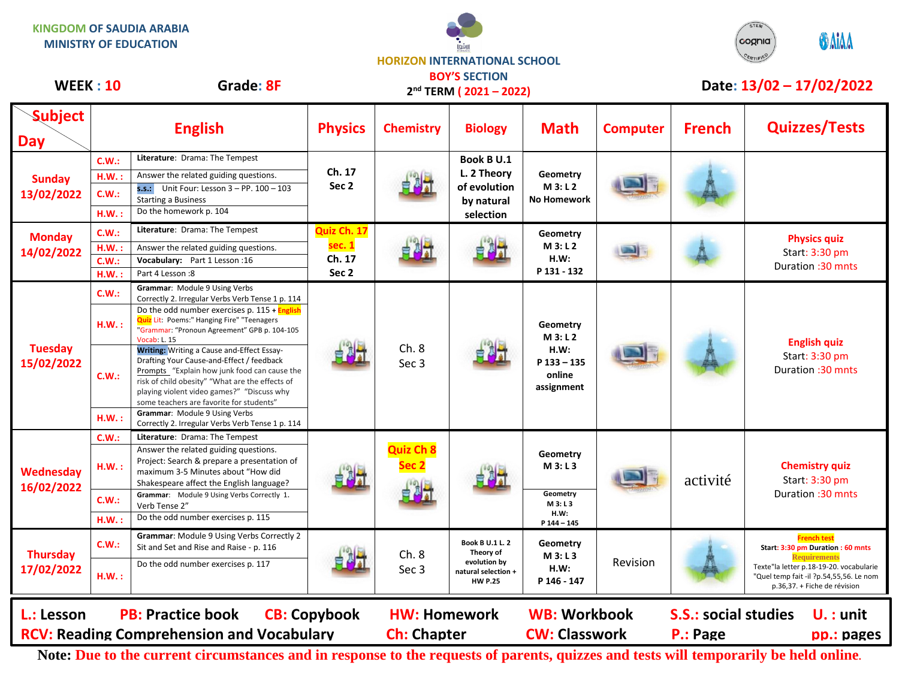



## **WEEK : 10 Grade: 8F Date: 13/02 - 17/02/2022 BOY'S SECTION**

| <b>WEER:JU</b>                |              | Graue: <b>or</b>                                                                                                                                                                                                                                                                     |                                                     | 2 <sup>nd</sup> TERM (2021-2022)          |                                                                                             |                                                                     | Dale: 13/02 – 17/02/2022 |                                                                      |                                                                                                                                                                                                      |
|-------------------------------|--------------|--------------------------------------------------------------------------------------------------------------------------------------------------------------------------------------------------------------------------------------------------------------------------------------|-----------------------------------------------------|-------------------------------------------|---------------------------------------------------------------------------------------------|---------------------------------------------------------------------|--------------------------|----------------------------------------------------------------------|------------------------------------------------------------------------------------------------------------------------------------------------------------------------------------------------------|
| <b>Subject</b><br><b>Day</b>  |              | <b>English</b>                                                                                                                                                                                                                                                                       | <b>Physics</b>                                      | <b>Chemistry</b>                          | <b>Biology</b>                                                                              | <b>Math</b>                                                         | <b>Computer</b>          | <b>French</b>                                                        | <b>Quizzes/Tests</b>                                                                                                                                                                                 |
| <b>Sunday</b><br>13/02/2022   | C.W.:        | Literature: Drama: The Tempest                                                                                                                                                                                                                                                       | Ch. 17<br>Sec <sub>2</sub>                          |                                           | <b>Book B U.1</b><br>L. 2 Theory<br>of evolution<br>by natural<br>selection                 | Geometry<br>M3: L2<br><b>No Homework</b>                            |                          |                                                                      |                                                                                                                                                                                                      |
|                               | HM.:         | Answer the related guiding questions.                                                                                                                                                                                                                                                |                                                     |                                           |                                                                                             |                                                                     |                          |                                                                      |                                                                                                                                                                                                      |
|                               | <b>C.W.:</b> | s.s.: Unit Four: Lesson $3 - PP. 100 - 103$<br><b>Starting a Business</b>                                                                                                                                                                                                            |                                                     |                                           |                                                                                             |                                                                     |                          |                                                                      |                                                                                                                                                                                                      |
|                               | H.W.:        | Do the homework p. 104                                                                                                                                                                                                                                                               |                                                     |                                           |                                                                                             |                                                                     |                          |                                                                      |                                                                                                                                                                                                      |
| <b>Monday</b><br>14/02/2022   | C.W.:        | Literature: Drama: The Tempest                                                                                                                                                                                                                                                       | Quiz Ch. 17<br>sec. 1<br>Ch. 17<br>Sec <sub>2</sub> |                                           |                                                                                             | Geometry<br>M3: L2<br>H.W:<br>P 131 - 132                           |                          |                                                                      | <b>Physics quiz</b><br>Start: 3:30 pm<br>Duration: 30 mnts                                                                                                                                           |
|                               | H.W.         | Answer the related guiding questions.                                                                                                                                                                                                                                                |                                                     |                                           |                                                                                             |                                                                     |                          |                                                                      |                                                                                                                                                                                                      |
|                               | C.W.:        | Vocabulary: Part 1 Lesson: 16                                                                                                                                                                                                                                                        |                                                     |                                           |                                                                                             |                                                                     |                          |                                                                      |                                                                                                                                                                                                      |
|                               | H.W.:        | Part 4 Lesson: 8                                                                                                                                                                                                                                                                     |                                                     |                                           |                                                                                             |                                                                     |                          |                                                                      |                                                                                                                                                                                                      |
| <b>Tuesday</b><br>15/02/2022  | C.W.:        | Grammar: Module 9 Using Verbs<br>Correctly 2. Irregular Verbs Verb Tense 1 p. 114                                                                                                                                                                                                    |                                                     | Ch.8<br>Sec 3                             |                                                                                             | Geometry<br>M3: L2<br>H.W:<br>$P$ 133 - 135<br>online<br>assignment |                          |                                                                      | <b>English quiz</b><br>Start: 3:30 pm<br>Duration: 30 mnts                                                                                                                                           |
|                               | H.W.:        | Do the odd number exercises $p. 115 +$ English<br><b>Quiz</b> Lit: Poems:" Hanging Fire" "Teenagers<br>"Grammar: "Pronoun Agreement" GPB p. 104-105<br>Vocab: L. 15                                                                                                                  |                                                     |                                           |                                                                                             |                                                                     |                          |                                                                      |                                                                                                                                                                                                      |
|                               | C.W.:        | Writing: Writing a Cause and-Effect Essay-<br>Drafting Your Cause-and-Effect / feedback<br>Prompts "Explain how junk food can cause the<br>risk of child obesity" "What are the effects of<br>playing violent video games?" "Discuss why<br>some teachers are favorite for students" |                                                     |                                           |                                                                                             |                                                                     |                          |                                                                      |                                                                                                                                                                                                      |
|                               | HM.:         | Grammar: Module 9 Using Verbs<br>Correctly 2. Irregular Verbs Verb Tense 1 p. 114                                                                                                                                                                                                    |                                                     |                                           |                                                                                             |                                                                     |                          |                                                                      |                                                                                                                                                                                                      |
| Wednesday<br>16/02/2022       | C.W.:        | Literature: Drama: The Tempest                                                                                                                                                                                                                                                       |                                                     | <b>Quiz Ch 8</b><br>Sec 2                 |                                                                                             |                                                                     |                          | activité                                                             | <b>Chemistry quiz</b><br>Start: 3:30 pm<br>Duration: 30 mnts                                                                                                                                         |
|                               | H.W.:        | Answer the related guiding questions.<br>Project: Search & prepare a presentation of<br>maximum 3-5 Minutes about "How did<br>Shakespeare affect the English language?                                                                                                               |                                                     |                                           |                                                                                             | Geometry<br>M3: L3                                                  |                          |                                                                      |                                                                                                                                                                                                      |
|                               | C.W.:        | Grammar: Module 9 Using Verbs Correctly 1.<br>Verb Tense 2"                                                                                                                                                                                                                          |                                                     |                                           |                                                                                             | Geometry<br>M3: L3                                                  |                          |                                                                      |                                                                                                                                                                                                      |
|                               | H.W.:        | Do the odd number exercises p. 115                                                                                                                                                                                                                                                   |                                                     |                                           |                                                                                             | H.W:<br>P 144 - 145                                                 |                          |                                                                      |                                                                                                                                                                                                      |
| <b>Thursday</b><br>17/02/2022 | C.W.:        | Grammar: Module 9 Using Verbs Correctly 2<br>Sit and Set and Rise and Raise - p. 116                                                                                                                                                                                                 |                                                     | Ch.8<br>Sec <sub>3</sub>                  | <b>Book B U.1 L.2</b><br>Theory of<br>evolution by<br>natural selection +<br><b>HW P.25</b> | Geometry<br>M 3: L 3<br>H.W:<br>P 146 - 147                         | Revision                 |                                                                      | <b>French test</b><br>Start: 3:30 pm Duration : 60 mnts<br><b>Requirements</b><br>Texte"la letter p.18-19-20. vocabularie<br>"Quel temp fait -il ?p.54,55,56. Le nom<br>p.36,37. + Fiche de révision |
|                               | HM.:         | Do the odd number exercises p. 117                                                                                                                                                                                                                                                   |                                                     |                                           |                                                                                             |                                                                     |                          |                                                                      |                                                                                                                                                                                                      |
| L.: Lesson                    |              | <b>PB: Practice book</b><br><b>RCV: Reading Comprehension and Vocabulary</b>                                                                                                                                                                                                         | <b>CB: Copybook</b>                                 | <b>HW: Homework</b><br><b>Ch: Chapter</b> |                                                                                             | <b>WB: Workbook</b><br><b>CW: Classwork</b>                         |                          | <b>S.S.: social studies</b><br>$U.$ : unit<br>P.: Page<br>pp.: pages |                                                                                                                                                                                                      |

**Note: Due to the current circumstances and in response to the requests of parents, quizzes and tests will temporarily be held online.**